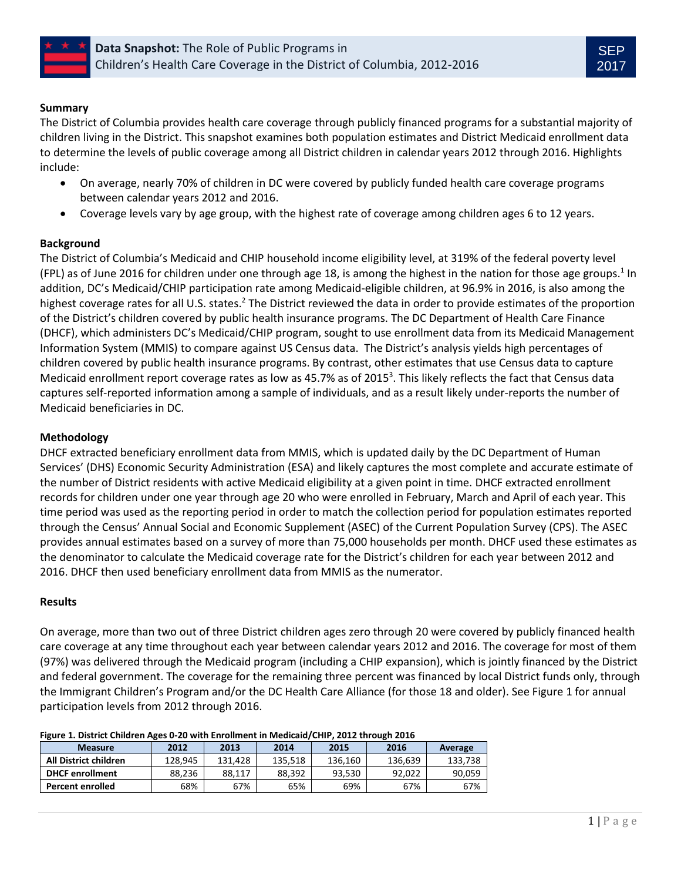



## **Summary**

The District of Columbia provides health care coverage through publicly financed programs for a substantial majority of children living in the District. This snapshot examines both population estimates and District Medicaid enrollment data to determine the levels of public coverage among all District children in calendar years 2012 through 2016. Highlights include:

- On average, nearly 70% of children in DC were covered by publicly funded health care coverage programs between calendar years 2012 and 2016.
- Coverage levels vary by age group, with the highest rate of coverage among children ages 6 to 12 years.

# **Background**

The District of Columbia's Medicaid and CHIP household income eligibility level, at 319% of the federal poverty level (FPL) as of June 2016 for children under one through age 18, is among the highest in the nation for those age groups.<sup>1</sup> In addition, DC's Medicaid/CHIP participation rate among Medicaid-eligible children, at 96.9% in 2016, is also among the highest coverage rates for all U.S. states.<sup>2</sup> The District reviewed the data in order to provide estimates of the proportion of the District's children covered by public health insurance programs. The DC Department of Health Care Finance (DHCF), which administers DC's Medicaid/CHIP program, sought to use enrollment data from its Medicaid Management Information System (MMIS) to compare against US Census data. The District's analysis yields high percentages of children covered by public health insurance programs. By contrast, other estimates that use Census data to capture Medicaid enrollment report coverage rates as low as 45.7% as of 2015<sup>3</sup>. This likely reflects the fact that Census data captures self-reported information among a sample of individuals, and as a result likely under-reports the number of Medicaid beneficiaries in DC.

## **Methodology**

DHCF extracted beneficiary enrollment data from MMIS, which is updated daily by the DC Department of Human Services' (DHS) Economic Security Administration (ESA) and likely captures the most complete and accurate estimate of the number of District residents with active Medicaid eligibility at a given point in time. DHCF extracted enrollment records for children under one year through age 20 who were enrolled in February, March and April of each year. This time period was used as the reporting period in order to match the collection period for population estimates reported through the Census' Annual Social and Economic Supplement (ASEC) of the Current Population Survey (CPS). The ASEC provides annual estimates based on a survey of more than 75,000 households per month. DHCF used these estimates as the denominator to calculate the Medicaid coverage rate for the District's children for each year between 2012 and 2016. DHCF then used beneficiary enrollment data from MMIS as the numerator.

### **Results**

On average, more than two out of three District children ages zero through 20 were covered by publicly financed health care coverage at any time throughout each year between calendar years 2012 and 2016. The coverage for most of them (97%) was delivered through the Medicaid program (including a CHIP expansion), which is jointly financed by the District and federal government. The coverage for the remaining three percent was financed by local District funds only, through the Immigrant Children's Program and/or the DC Health Care Alliance (for those 18 and older). See Figure 1 for annual participation levels from 2012 through 2016.

| Figure 1. District Children Ages 0-20 With Embilitient in Medicald/Chip, 2012 through 2010 |         |         |         |         |         |         |
|--------------------------------------------------------------------------------------------|---------|---------|---------|---------|---------|---------|
| <b>Measure</b>                                                                             | 2012    | 2013    | 2014    | 2015    | 2016    | Average |
| All District children                                                                      | 128.945 | 131.428 | 135.518 | 136.160 | 136.639 | 133.738 |
| <b>DHCF enrollment</b>                                                                     | 88.236  | 88.117  | 88.392  | 93.530  | 92.022  | 90.059  |
| <b>Percent enrolled</b>                                                                    | 68%     | 67%     | 65%     | 69%     | 67%     | 67%     |

### **Figure 1. District Children Ages 0-20 with Enrollment in Medicaid/CHIP, 2012 through 2016**